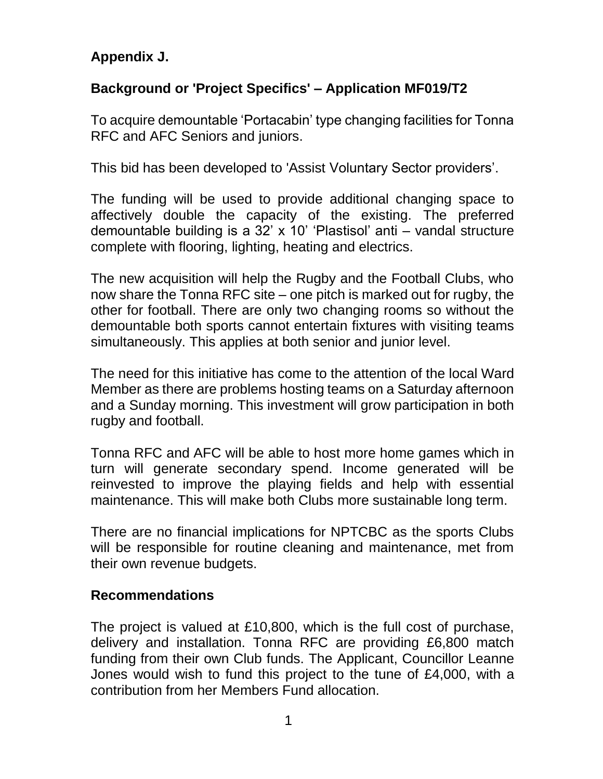## **Appendix J.**

## **Background or 'Project Specifics' – Application MF019/T2**

To acquire demountable 'Portacabin' type changing facilities for Tonna RFC and AFC Seniors and juniors.

This bid has been developed to 'Assist Voluntary Sector providers'.

The funding will be used to provide additional changing space to affectively double the capacity of the existing. The preferred demountable building is a 32' x 10' 'Plastisol' anti – vandal structure complete with flooring, lighting, heating and electrics.

The new acquisition will help the Rugby and the Football Clubs, who now share the Tonna RFC site – one pitch is marked out for rugby, the other for football. There are only two changing rooms so without the demountable both sports cannot entertain fixtures with visiting teams simultaneously. This applies at both senior and junior level.

The need for this initiative has come to the attention of the local Ward Member as there are problems hosting teams on a Saturday afternoon and a Sunday morning. This investment will grow participation in both rugby and football.

Tonna RFC and AFC will be able to host more home games which in turn will generate secondary spend. Income generated will be reinvested to improve the playing fields and help with essential maintenance. This will make both Clubs more sustainable long term.

There are no financial implications for NPTCBC as the sports Clubs will be responsible for routine cleaning and maintenance, met from their own revenue budgets.

## **Recommendations**

The project is valued at £10,800, which is the full cost of purchase, delivery and installation. Tonna RFC are providing £6,800 match funding from their own Club funds. The Applicant, Councillor Leanne Jones would wish to fund this project to the tune of £4,000, with a contribution from her Members Fund allocation.